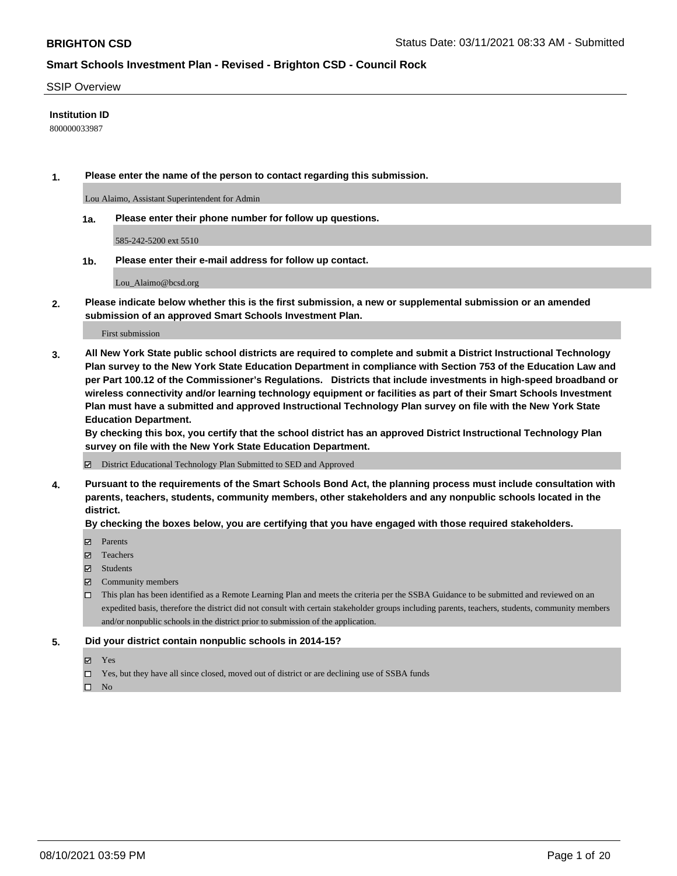#### SSIP Overview

#### **Institution ID**

800000033987

**1. Please enter the name of the person to contact regarding this submission.**

Lou Alaimo, Assistant Superintendent for Admin

**1a. Please enter their phone number for follow up questions.**

585-242-5200 ext 5510

**1b. Please enter their e-mail address for follow up contact.**

Lou\_Alaimo@bcsd.org

**2. Please indicate below whether this is the first submission, a new or supplemental submission or an amended submission of an approved Smart Schools Investment Plan.**

#### First submission

**3. All New York State public school districts are required to complete and submit a District Instructional Technology Plan survey to the New York State Education Department in compliance with Section 753 of the Education Law and per Part 100.12 of the Commissioner's Regulations. Districts that include investments in high-speed broadband or wireless connectivity and/or learning technology equipment or facilities as part of their Smart Schools Investment Plan must have a submitted and approved Instructional Technology Plan survey on file with the New York State Education Department.** 

**By checking this box, you certify that the school district has an approved District Instructional Technology Plan survey on file with the New York State Education Department.**

District Educational Technology Plan Submitted to SED and Approved

**4. Pursuant to the requirements of the Smart Schools Bond Act, the planning process must include consultation with parents, teachers, students, community members, other stakeholders and any nonpublic schools located in the district.** 

#### **By checking the boxes below, you are certifying that you have engaged with those required stakeholders.**

- **Parents**
- Teachers
- Students
- $\boxtimes$  Community members
- This plan has been identified as a Remote Learning Plan and meets the criteria per the SSBA Guidance to be submitted and reviewed on an expedited basis, therefore the district did not consult with certain stakeholder groups including parents, teachers, students, community members and/or nonpublic schools in the district prior to submission of the application.
- **5. Did your district contain nonpublic schools in 2014-15?**
	- Yes
	- □ Yes, but they have all since closed, moved out of district or are declining use of SSBA funds

 $\square$  No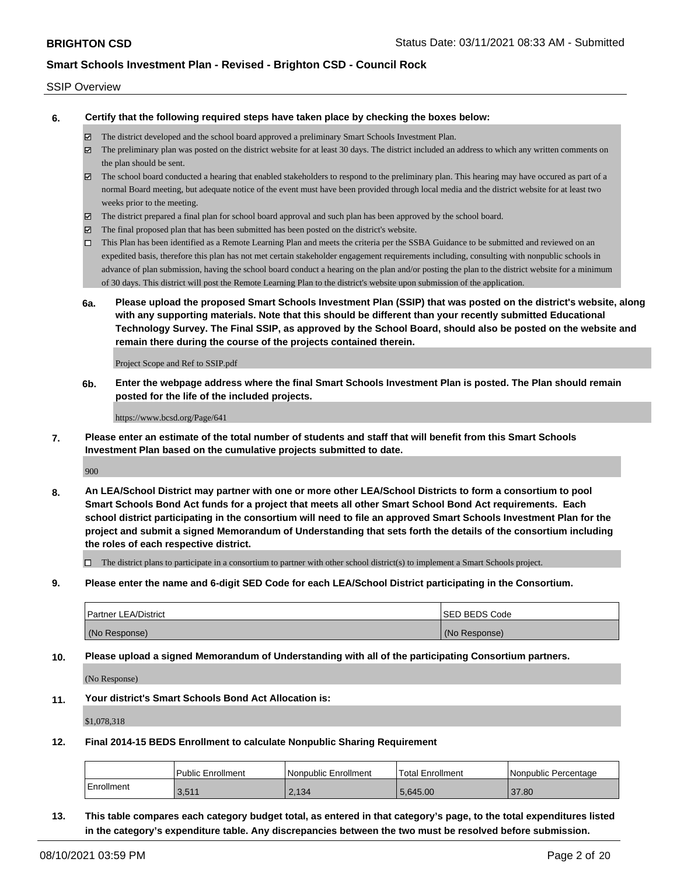#### SSIP Overview

**6. Certify that the following required steps have taken place by checking the boxes below:**

- The district developed and the school board approved a preliminary Smart Schools Investment Plan.
- The preliminary plan was posted on the district website for at least 30 days. The district included an address to which any written comments on the plan should be sent.
- $\boxtimes$  The school board conducted a hearing that enabled stakeholders to respond to the preliminary plan. This hearing may have occured as part of a normal Board meeting, but adequate notice of the event must have been provided through local media and the district website for at least two weeks prior to the meeting.
- The district prepared a final plan for school board approval and such plan has been approved by the school board.
- $\boxtimes$  The final proposed plan that has been submitted has been posted on the district's website.
- This Plan has been identified as a Remote Learning Plan and meets the criteria per the SSBA Guidance to be submitted and reviewed on an expedited basis, therefore this plan has not met certain stakeholder engagement requirements including, consulting with nonpublic schools in advance of plan submission, having the school board conduct a hearing on the plan and/or posting the plan to the district website for a minimum of 30 days. This district will post the Remote Learning Plan to the district's website upon submission of the application.
- **6a. Please upload the proposed Smart Schools Investment Plan (SSIP) that was posted on the district's website, along with any supporting materials. Note that this should be different than your recently submitted Educational Technology Survey. The Final SSIP, as approved by the School Board, should also be posted on the website and remain there during the course of the projects contained therein.**

Project Scope and Ref to SSIP.pdf

**6b. Enter the webpage address where the final Smart Schools Investment Plan is posted. The Plan should remain posted for the life of the included projects.**

https://www.bcsd.org/Page/641

**7. Please enter an estimate of the total number of students and staff that will benefit from this Smart Schools Investment Plan based on the cumulative projects submitted to date.**

900

**8. An LEA/School District may partner with one or more other LEA/School Districts to form a consortium to pool Smart Schools Bond Act funds for a project that meets all other Smart School Bond Act requirements. Each school district participating in the consortium will need to file an approved Smart Schools Investment Plan for the project and submit a signed Memorandum of Understanding that sets forth the details of the consortium including the roles of each respective district.**

 $\Box$  The district plans to participate in a consortium to partner with other school district(s) to implement a Smart Schools project.

**9. Please enter the name and 6-digit SED Code for each LEA/School District participating in the Consortium.**

| <b>Partner LEA/District</b> | <b>ISED BEDS Code</b> |
|-----------------------------|-----------------------|
| (No Response)               | (No Response)         |

**10. Please upload a signed Memorandum of Understanding with all of the participating Consortium partners.**

(No Response)

**11. Your district's Smart Schools Bond Act Allocation is:**

\$1,078,318

**12. Final 2014-15 BEDS Enrollment to calculate Nonpublic Sharing Requirement**

|            | <b>Public Enrollment</b> | l Nonpublic Enrollment | Total Enrollment | l Nonpublic Percentage |
|------------|--------------------------|------------------------|------------------|------------------------|
| Enrollment | 3.511                    | 2.134                  | 5.645.00         | 37.80                  |

**13. This table compares each category budget total, as entered in that category's page, to the total expenditures listed in the category's expenditure table. Any discrepancies between the two must be resolved before submission.**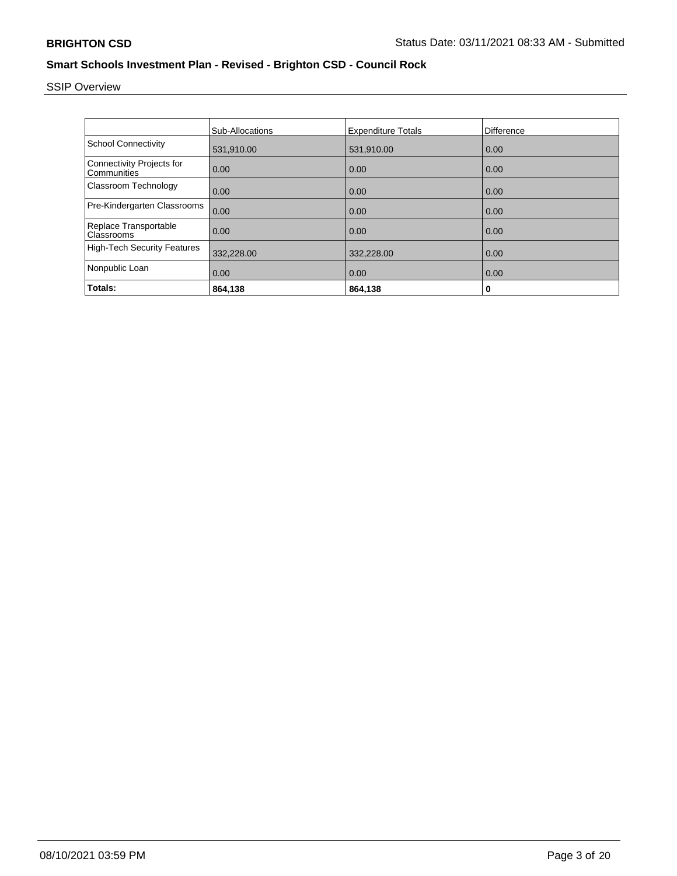# SSIP Overview

|                                                 | <b>Sub-Allocations</b> | <b>Expenditure Totals</b> | Difference |
|-------------------------------------------------|------------------------|---------------------------|------------|
| <b>School Connectivity</b>                      | 531,910.00             | 531,910.00                | 0.00       |
| <b>Connectivity Projects for</b><br>Communities | 0.00                   | 0.00                      | 0.00       |
| Classroom Technology                            | 0.00                   | 0.00                      | 0.00       |
| Pre-Kindergarten Classrooms                     | 0.00                   | 0.00                      | 0.00       |
| Replace Transportable<br>Classrooms             | 0.00                   | 0.00                      | 0.00       |
| <b>High-Tech Security Features</b>              | 332,228.00             | 332,228.00                | 0.00       |
| Nonpublic Loan                                  | 0.00                   | 0.00                      | 0.00       |
| Totals:                                         | 864,138                | 864,138                   | 0          |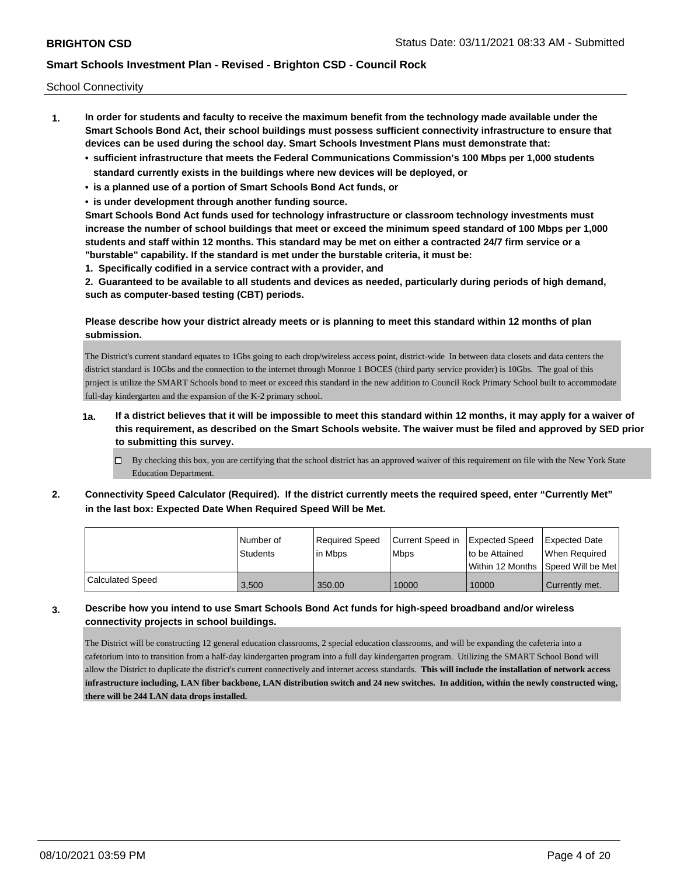School Connectivity

- **1. In order for students and faculty to receive the maximum benefit from the technology made available under the Smart Schools Bond Act, their school buildings must possess sufficient connectivity infrastructure to ensure that devices can be used during the school day. Smart Schools Investment Plans must demonstrate that:**
	- **• sufficient infrastructure that meets the Federal Communications Commission's 100 Mbps per 1,000 students standard currently exists in the buildings where new devices will be deployed, or**
	- **• is a planned use of a portion of Smart Schools Bond Act funds, or**
	- **• is under development through another funding source.**

**Smart Schools Bond Act funds used for technology infrastructure or classroom technology investments must increase the number of school buildings that meet or exceed the minimum speed standard of 100 Mbps per 1,000 students and staff within 12 months. This standard may be met on either a contracted 24/7 firm service or a "burstable" capability. If the standard is met under the burstable criteria, it must be:**

**1. Specifically codified in a service contract with a provider, and**

**2. Guaranteed to be available to all students and devices as needed, particularly during periods of high demand, such as computer-based testing (CBT) periods.**

### **Please describe how your district already meets or is planning to meet this standard within 12 months of plan submission.**

The District's current standard equates to 1Gbs going to each drop/wireless access point, district-wide In between data closets and data centers the district standard is 10Gbs and the connection to the internet through Monroe 1 BOCES (third party service provider) is 10Gbs. The goal of this project is utilize the SMART Schools bond to meet or exceed this standard in the new addition to Council Rock Primary School built to accommodate full-day kindergarten and the expansion of the K-2 primary school.

- **1a. If a district believes that it will be impossible to meet this standard within 12 months, it may apply for a waiver of this requirement, as described on the Smart Schools website. The waiver must be filed and approved by SED prior to submitting this survey.**
	- $\Box$  By checking this box, you are certifying that the school district has an approved waiver of this requirement on file with the New York State Education Department.
- **2. Connectivity Speed Calculator (Required). If the district currently meets the required speed, enter "Currently Met" in the last box: Expected Date When Required Speed Will be Met.**

|                         | l Number of     | Required Speed | Current Speed in | Expected Speed | <b>Expected Date</b>                 |
|-------------------------|-----------------|----------------|------------------|----------------|--------------------------------------|
|                         | <b>Students</b> | l in Mbps      | <b>Mbps</b>      | to be Attained | When Required                        |
|                         |                 |                |                  |                | Within 12 Months 1Speed Will be Met1 |
| <b>Calculated Speed</b> | 3.500           | 350.00         | 10000            | 10000          | Currently met.                       |

### **3. Describe how you intend to use Smart Schools Bond Act funds for high-speed broadband and/or wireless connectivity projects in school buildings.**

The District will be constructing 12 general education classrooms, 2 special education classrooms, and will be expanding the cafeteria into a cafetorium into to transition from a half-day kindergarten program into a full day kindergarten program. Utilizing the SMART School Bond will allow the District to duplicate the district's current connectively and internet access standards. **This will include the installation of network access infrastructure including, LAN fiber backbone, LAN distribution switch and 24 new switches. In addition, within the newly constructed wing, there will be 244 LAN data drops installed.**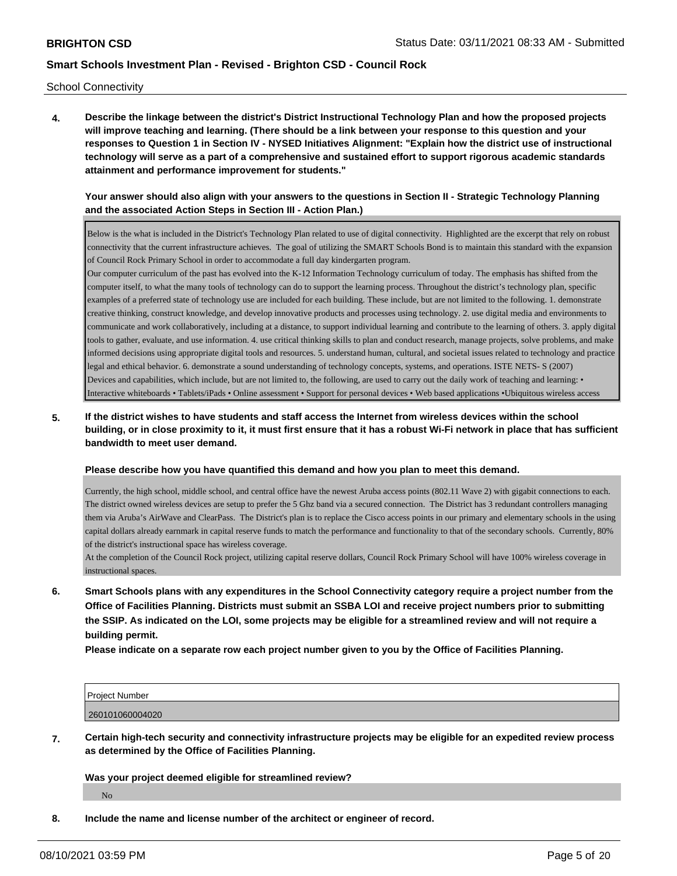School Connectivity

**4. Describe the linkage between the district's District Instructional Technology Plan and how the proposed projects will improve teaching and learning. (There should be a link between your response to this question and your responses to Question 1 in Section IV - NYSED Initiatives Alignment: "Explain how the district use of instructional technology will serve as a part of a comprehensive and sustained effort to support rigorous academic standards attainment and performance improvement for students."** 

#### **Your answer should also align with your answers to the questions in Section II - Strategic Technology Planning and the associated Action Steps in Section III - Action Plan.)**

Below is the what is included in the District's Technology Plan related to use of digital connectivity. Highlighted are the excerpt that rely on robust connectivity that the current infrastructure achieves. The goal of utilizing the SMART Schools Bond is to maintain this standard with the expansion of Council Rock Primary School in order to accommodate a full day kindergarten program.

Our computer curriculum of the past has evolved into the K-12 Information Technology curriculum of today. The emphasis has shifted from the computer itself, to what the many tools of technology can do to support the learning process. Throughout the district's technology plan, specific examples of a preferred state of technology use are included for each building. These include, but are not limited to the following. 1. demonstrate creative thinking, construct knowledge, and develop innovative products and processes using technology. 2. use digital media and environments to communicate and work collaboratively, including at a distance, to support individual learning and contribute to the learning of others. 3. apply digital tools to gather, evaluate, and use information. 4. use critical thinking skills to plan and conduct research, manage projects, solve problems, and make informed decisions using appropriate digital tools and resources. 5. understand human, cultural, and societal issues related to technology and practice legal and ethical behavior. 6. demonstrate a sound understanding of technology concepts, systems, and operations. ISTE NETS- S (2007) Devices and capabilities, which include, but are not limited to, the following, are used to carry out the daily work of teaching and learning: • Interactive whiteboards • Tablets/iPads • Online assessment • Support for personal devices • Web based applications •Ubiquitous wireless access

**5. If the district wishes to have students and staff access the Internet from wireless devices within the school building, or in close proximity to it, it must first ensure that it has a robust Wi-Fi network in place that has sufficient bandwidth to meet user demand.**

#### **Please describe how you have quantified this demand and how you plan to meet this demand.**

Currently, the high school, middle school, and central office have the newest Aruba access points (802.11 Wave 2) with gigabit connections to each. The district owned wireless devices are setup to prefer the 5 Ghz band via a secured connection. The District has 3 redundant controllers managing them via Aruba's AirWave and ClearPass. The District's plan is to replace the Cisco access points in our primary and elementary schools in the using capital dollars already earnmark in capital reserve funds to match the performance and functionality to that of the secondary schools. Currently, 80% of the district's instructional space has wireless coverage.

At the completion of the Council Rock project, utilizing capital reserve dollars, Council Rock Primary School will have 100% wireless coverage in instructional spaces.

**6. Smart Schools plans with any expenditures in the School Connectivity category require a project number from the Office of Facilities Planning. Districts must submit an SSBA LOI and receive project numbers prior to submitting the SSIP. As indicated on the LOI, some projects may be eligible for a streamlined review and will not require a building permit.**

**Please indicate on a separate row each project number given to you by the Office of Facilities Planning.**

| <b>Project Number</b> |  |
|-----------------------|--|
| 260<br>01060004020    |  |

**7. Certain high-tech security and connectivity infrastructure projects may be eligible for an expedited review process as determined by the Office of Facilities Planning.**

#### **Was your project deemed eligible for streamlined review?**

No

**8. Include the name and license number of the architect or engineer of record.**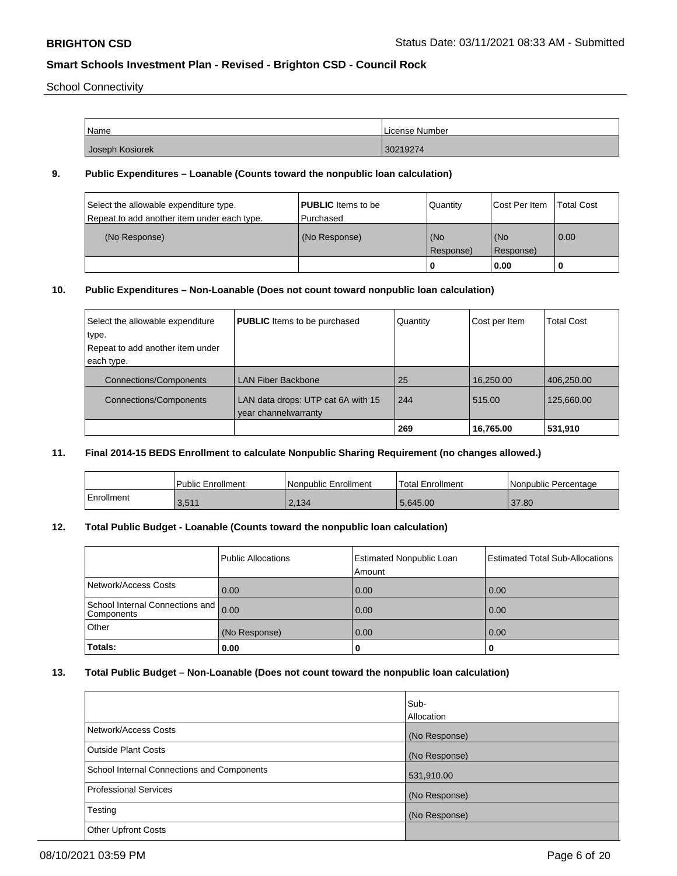School Connectivity

| Name            | License Number |
|-----------------|----------------|
| Joseph Kosiorek | 30219274       |

#### **9. Public Expenditures – Loanable (Counts toward the nonpublic loan calculation)**

| Select the allowable expenditure type.<br>Repeat to add another item under each type. | <b>PUBLIC</b> Items to be<br>Purchased | Quantity  | Cost Per Item | <b>Total Cost</b> |
|---------------------------------------------------------------------------------------|----------------------------------------|-----------|---------------|-------------------|
| (No Response)                                                                         | (No Response)                          | (No       | l (No         | 0.00              |
|                                                                                       |                                        | Response) | Response)     |                   |
|                                                                                       |                                        | 0         | 0.00          |                   |

### **10. Public Expenditures – Non-Loanable (Does not count toward nonpublic loan calculation)**

| Select the allowable expenditure<br>type. | <b>PUBLIC</b> Items to be purchased                        | Quantity | Cost per Item | <b>Total Cost</b> |
|-------------------------------------------|------------------------------------------------------------|----------|---------------|-------------------|
| Repeat to add another item under          |                                                            |          |               |                   |
| each type.                                |                                                            |          |               |                   |
| <b>Connections/Components</b>             | <b>LAN Fiber Backbone</b>                                  | 25       | 16,250.00     | 406,250.00        |
| <b>Connections/Components</b>             | LAN data drops: UTP cat 6A with 15<br>year channelwarranty | 244      | 515.00        | 125,660.00        |
|                                           |                                                            | 269      | 16,765.00     | 531,910           |

#### **11. Final 2014-15 BEDS Enrollment to calculate Nonpublic Sharing Requirement (no changes allowed.)**

|            | Public Enrollment | Nonpublic Enrollment | Total Enrollment | I Nonpublic Percentage |
|------------|-------------------|----------------------|------------------|------------------------|
| Enrollment | 3,511             | 2,134                | 5,645.00         | 37.80                  |

#### **12. Total Public Budget - Loanable (Counts toward the nonpublic loan calculation)**

|                                               | <b>Public Allocations</b> | <b>Estimated Nonpublic Loan</b><br>Amount | <b>Estimated Total Sub-Allocations</b> |
|-----------------------------------------------|---------------------------|-------------------------------------------|----------------------------------------|
| Network/Access Costs                          | 0.00                      | 0.00                                      | 0.00                                   |
| School Internal Connections and<br>Components | 0.00                      | 0.00                                      | 0.00                                   |
| <b>Other</b>                                  | (No Response)             | 0.00                                      | 0.00                                   |
| Totals:                                       | 0.00                      | 0                                         | 0                                      |

### **13. Total Public Budget – Non-Loanable (Does not count toward the nonpublic loan calculation)**

|                                            | Sub-<br>Allocation |
|--------------------------------------------|--------------------|
| Network/Access Costs                       | (No Response)      |
| <b>Outside Plant Costs</b>                 | (No Response)      |
| School Internal Connections and Components | 531,910.00         |
| <b>Professional Services</b>               | (No Response)      |
| Testing                                    | (No Response)      |
| <b>Other Upfront Costs</b>                 |                    |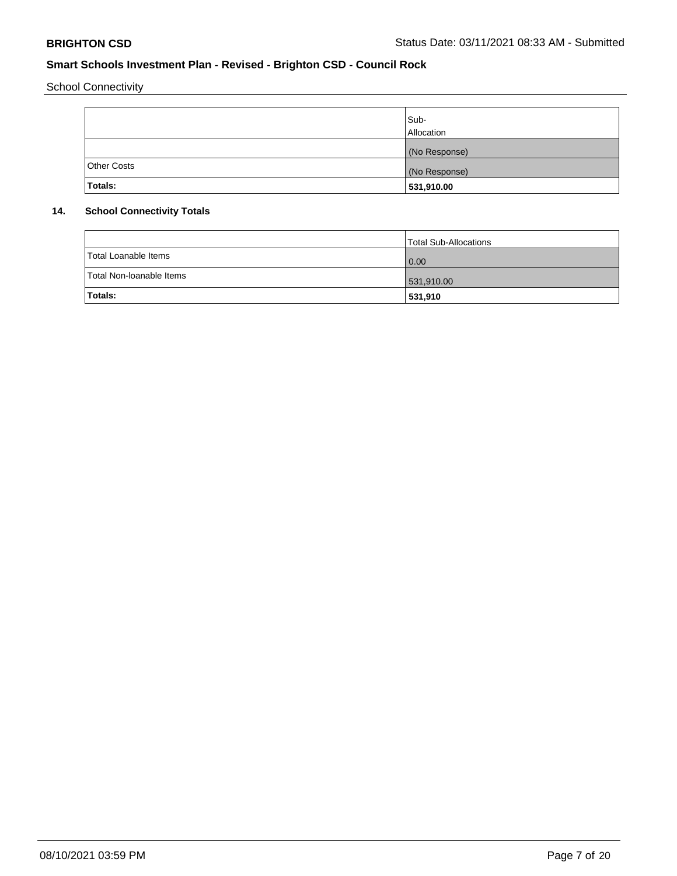School Connectivity

|                    | Sub-<br>Allocation |
|--------------------|--------------------|
|                    | (No Response)      |
| <b>Other Costs</b> | (No Response)      |
| Totals:            | 531,910.00         |

### **14. School Connectivity Totals**

|                          | Total Sub-Allocations |
|--------------------------|-----------------------|
| Total Loanable Items     | $\overline{0.00}$     |
| Total Non-Ioanable Items | 531,910.00            |
| Totals:                  | 531,910               |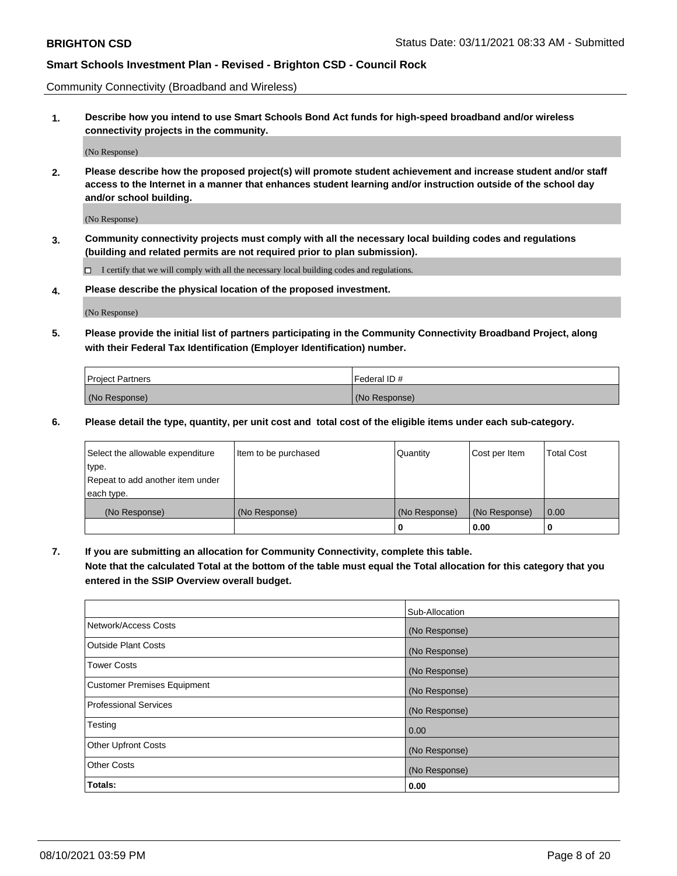Community Connectivity (Broadband and Wireless)

**1. Describe how you intend to use Smart Schools Bond Act funds for high-speed broadband and/or wireless connectivity projects in the community.**

(No Response)

**2. Please describe how the proposed project(s) will promote student achievement and increase student and/or staff access to the Internet in a manner that enhances student learning and/or instruction outside of the school day and/or school building.**

(No Response)

**3. Community connectivity projects must comply with all the necessary local building codes and regulations (building and related permits are not required prior to plan submission).**

 $\Box$  I certify that we will comply with all the necessary local building codes and regulations.

**4. Please describe the physical location of the proposed investment.**

(No Response)

**5. Please provide the initial list of partners participating in the Community Connectivity Broadband Project, along with their Federal Tax Identification (Employer Identification) number.**

| <b>Project Partners</b> | l Federal ID # |
|-------------------------|----------------|
| (No Response)           | (No Response)  |

**6. Please detail the type, quantity, per unit cost and total cost of the eligible items under each sub-category.**

| Select the allowable expenditure | Item to be purchased | Quantity      | Cost per Item | <b>Total Cost</b> |
|----------------------------------|----------------------|---------------|---------------|-------------------|
| type.                            |                      |               |               |                   |
| Repeat to add another item under |                      |               |               |                   |
| each type.                       |                      |               |               |                   |
| (No Response)                    | (No Response)        | (No Response) | (No Response) | 0.00              |
|                                  |                      | o             | 0.00          |                   |

**7. If you are submitting an allocation for Community Connectivity, complete this table.**

**Note that the calculated Total at the bottom of the table must equal the Total allocation for this category that you entered in the SSIP Overview overall budget.**

|                              | Sub-Allocation |
|------------------------------|----------------|
| Network/Access Costs         | (No Response)  |
| Outside Plant Costs          | (No Response)  |
| <b>Tower Costs</b>           | (No Response)  |
| Customer Premises Equipment  | (No Response)  |
| <b>Professional Services</b> | (No Response)  |
| Testing                      | 0.00           |
| <b>Other Upfront Costs</b>   | (No Response)  |
| <b>Other Costs</b>           | (No Response)  |
| Totals:                      | 0.00           |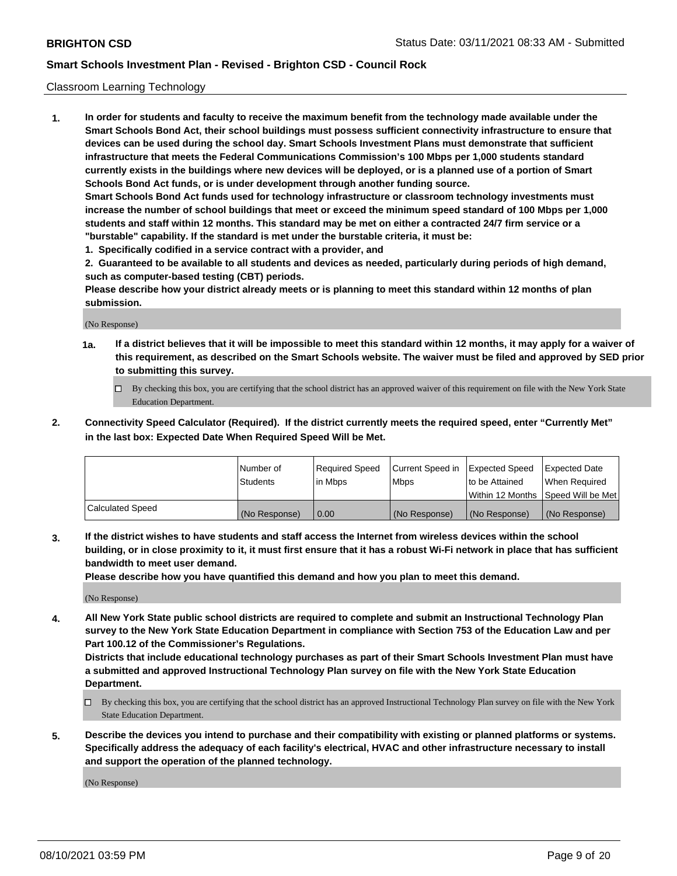#### Classroom Learning Technology

**1. In order for students and faculty to receive the maximum benefit from the technology made available under the Smart Schools Bond Act, their school buildings must possess sufficient connectivity infrastructure to ensure that devices can be used during the school day. Smart Schools Investment Plans must demonstrate that sufficient infrastructure that meets the Federal Communications Commission's 100 Mbps per 1,000 students standard currently exists in the buildings where new devices will be deployed, or is a planned use of a portion of Smart Schools Bond Act funds, or is under development through another funding source. Smart Schools Bond Act funds used for technology infrastructure or classroom technology investments must increase the number of school buildings that meet or exceed the minimum speed standard of 100 Mbps per 1,000 students and staff within 12 months. This standard may be met on either a contracted 24/7 firm service or a**

- **"burstable" capability. If the standard is met under the burstable criteria, it must be:**
- **1. Specifically codified in a service contract with a provider, and**

**2. Guaranteed to be available to all students and devices as needed, particularly during periods of high demand, such as computer-based testing (CBT) periods.**

**Please describe how your district already meets or is planning to meet this standard within 12 months of plan submission.**

(No Response)

- **1a. If a district believes that it will be impossible to meet this standard within 12 months, it may apply for a waiver of this requirement, as described on the Smart Schools website. The waiver must be filed and approved by SED prior to submitting this survey.**
	- By checking this box, you are certifying that the school district has an approved waiver of this requirement on file with the New York State Education Department.
- **2. Connectivity Speed Calculator (Required). If the district currently meets the required speed, enter "Currently Met" in the last box: Expected Date When Required Speed Will be Met.**

|                  | l Number of     | Required Speed | Current Speed in | <b>Expected Speed</b> | <b>Expected Date</b>                |
|------------------|-----------------|----------------|------------------|-----------------------|-------------------------------------|
|                  | <b>Students</b> | l in Mbps      | l Mbps           | to be Attained        | When Required                       |
|                  |                 |                |                  |                       | Within 12 Months  Speed Will be Met |
| Calculated Speed | (No Response)   | 0.00           | (No Response)    | l (No Response)       | (No Response)                       |

**3. If the district wishes to have students and staff access the Internet from wireless devices within the school building, or in close proximity to it, it must first ensure that it has a robust Wi-Fi network in place that has sufficient bandwidth to meet user demand.**

**Please describe how you have quantified this demand and how you plan to meet this demand.**

(No Response)

**4. All New York State public school districts are required to complete and submit an Instructional Technology Plan survey to the New York State Education Department in compliance with Section 753 of the Education Law and per Part 100.12 of the Commissioner's Regulations.**

**Districts that include educational technology purchases as part of their Smart Schools Investment Plan must have a submitted and approved Instructional Technology Plan survey on file with the New York State Education Department.**

- By checking this box, you are certifying that the school district has an approved Instructional Technology Plan survey on file with the New York State Education Department.
- **5. Describe the devices you intend to purchase and their compatibility with existing or planned platforms or systems. Specifically address the adequacy of each facility's electrical, HVAC and other infrastructure necessary to install and support the operation of the planned technology.**

(No Response)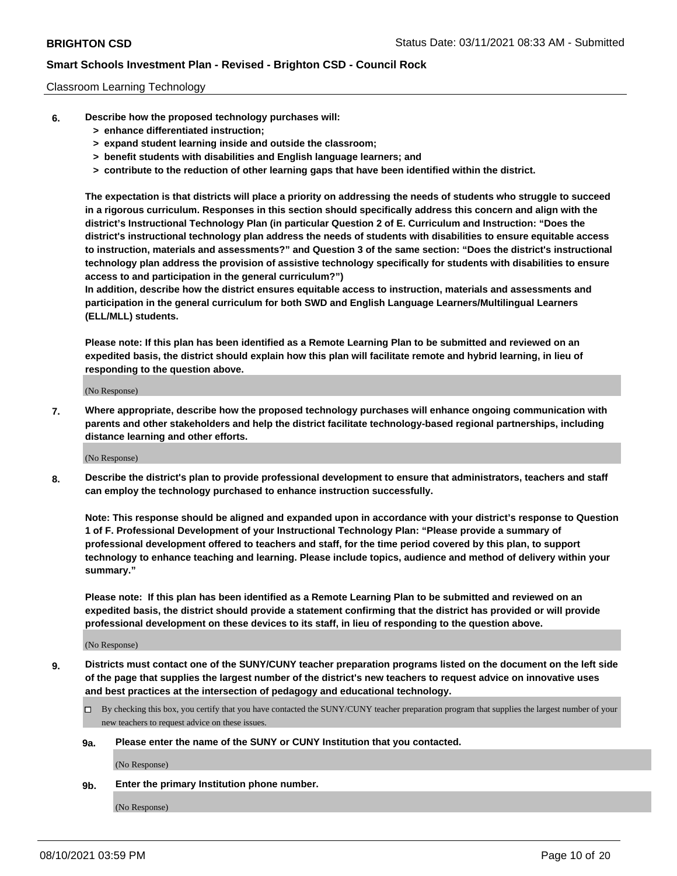#### Classroom Learning Technology

- **6. Describe how the proposed technology purchases will:**
	- **> enhance differentiated instruction;**
	- **> expand student learning inside and outside the classroom;**
	- **> benefit students with disabilities and English language learners; and**
	- **> contribute to the reduction of other learning gaps that have been identified within the district.**

**The expectation is that districts will place a priority on addressing the needs of students who struggle to succeed in a rigorous curriculum. Responses in this section should specifically address this concern and align with the district's Instructional Technology Plan (in particular Question 2 of E. Curriculum and Instruction: "Does the district's instructional technology plan address the needs of students with disabilities to ensure equitable access to instruction, materials and assessments?" and Question 3 of the same section: "Does the district's instructional technology plan address the provision of assistive technology specifically for students with disabilities to ensure access to and participation in the general curriculum?")**

**In addition, describe how the district ensures equitable access to instruction, materials and assessments and participation in the general curriculum for both SWD and English Language Learners/Multilingual Learners (ELL/MLL) students.**

**Please note: If this plan has been identified as a Remote Learning Plan to be submitted and reviewed on an expedited basis, the district should explain how this plan will facilitate remote and hybrid learning, in lieu of responding to the question above.**

(No Response)

**7. Where appropriate, describe how the proposed technology purchases will enhance ongoing communication with parents and other stakeholders and help the district facilitate technology-based regional partnerships, including distance learning and other efforts.**

(No Response)

**8. Describe the district's plan to provide professional development to ensure that administrators, teachers and staff can employ the technology purchased to enhance instruction successfully.**

**Note: This response should be aligned and expanded upon in accordance with your district's response to Question 1 of F. Professional Development of your Instructional Technology Plan: "Please provide a summary of professional development offered to teachers and staff, for the time period covered by this plan, to support technology to enhance teaching and learning. Please include topics, audience and method of delivery within your summary."**

**Please note: If this plan has been identified as a Remote Learning Plan to be submitted and reviewed on an expedited basis, the district should provide a statement confirming that the district has provided or will provide professional development on these devices to its staff, in lieu of responding to the question above.**

(No Response)

- **9. Districts must contact one of the SUNY/CUNY teacher preparation programs listed on the document on the left side of the page that supplies the largest number of the district's new teachers to request advice on innovative uses and best practices at the intersection of pedagogy and educational technology.**
	- By checking this box, you certify that you have contacted the SUNY/CUNY teacher preparation program that supplies the largest number of your new teachers to request advice on these issues.

#### **9a. Please enter the name of the SUNY or CUNY Institution that you contacted.**

(No Response)

**9b. Enter the primary Institution phone number.**

(No Response)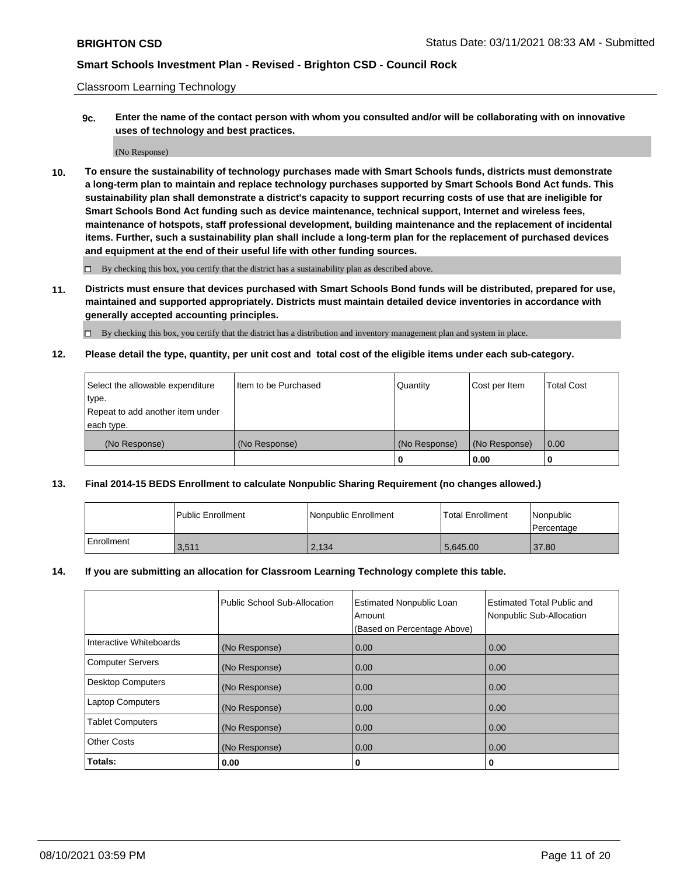Classroom Learning Technology

**9c. Enter the name of the contact person with whom you consulted and/or will be collaborating with on innovative uses of technology and best practices.**

(No Response)

**10. To ensure the sustainability of technology purchases made with Smart Schools funds, districts must demonstrate a long-term plan to maintain and replace technology purchases supported by Smart Schools Bond Act funds. This sustainability plan shall demonstrate a district's capacity to support recurring costs of use that are ineligible for Smart Schools Bond Act funding such as device maintenance, technical support, Internet and wireless fees, maintenance of hotspots, staff professional development, building maintenance and the replacement of incidental items. Further, such a sustainability plan shall include a long-term plan for the replacement of purchased devices and equipment at the end of their useful life with other funding sources.**

 $\square$  By checking this box, you certify that the district has a sustainability plan as described above.

**11. Districts must ensure that devices purchased with Smart Schools Bond funds will be distributed, prepared for use, maintained and supported appropriately. Districts must maintain detailed device inventories in accordance with generally accepted accounting principles.**

By checking this box, you certify that the district has a distribution and inventory management plan and system in place.

**12. Please detail the type, quantity, per unit cost and total cost of the eligible items under each sub-category.**

| Select the allowable expenditure | Item to be Purchased | Quantity      | Cost per Item | <b>Total Cost</b> |
|----------------------------------|----------------------|---------------|---------------|-------------------|
| type.                            |                      |               |               |                   |
| Repeat to add another item under |                      |               |               |                   |
| each type.                       |                      |               |               |                   |
| (No Response)                    | (No Response)        | (No Response) | (No Response) | $\overline{0.00}$ |
|                                  |                      |               | 0.00          |                   |

#### **13. Final 2014-15 BEDS Enrollment to calculate Nonpublic Sharing Requirement (no changes allowed.)**

|              | l Public Enrollment | <b>INonpublic Enrollment</b> | <b>Total Enrollment</b> | <i>Nonpublic</i><br>l Percentage |
|--------------|---------------------|------------------------------|-------------------------|----------------------------------|
| l Enrollment | 3,511               | 2,134                        | 5.645.00                | 37.80                            |

#### **14. If you are submitting an allocation for Classroom Learning Technology complete this table.**

|                          | Public School Sub-Allocation | <b>Estimated Nonpublic Loan</b><br>Amount | Estimated Total Public and<br>Nonpublic Sub-Allocation |
|--------------------------|------------------------------|-------------------------------------------|--------------------------------------------------------|
|                          |                              | (Based on Percentage Above)               |                                                        |
| Interactive Whiteboards  | (No Response)                | 0.00                                      | 0.00                                                   |
| <b>Computer Servers</b>  | (No Response)                | 0.00                                      | 0.00                                                   |
| <b>Desktop Computers</b> | (No Response)                | 0.00                                      | 0.00                                                   |
| <b>Laptop Computers</b>  | (No Response)                | 0.00                                      | 0.00                                                   |
| <b>Tablet Computers</b>  | (No Response)                | 0.00                                      | 0.00                                                   |
| <b>Other Costs</b>       | (No Response)                | 0.00                                      | 0.00                                                   |
| Totals:                  | 0.00                         | 0                                         | 0                                                      |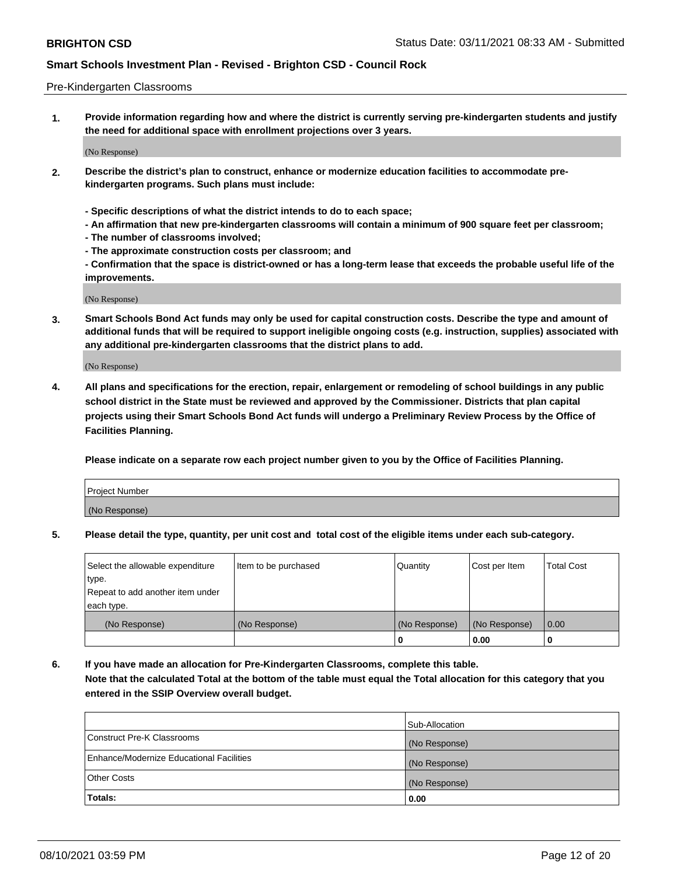#### Pre-Kindergarten Classrooms

**1. Provide information regarding how and where the district is currently serving pre-kindergarten students and justify the need for additional space with enrollment projections over 3 years.**

(No Response)

- **2. Describe the district's plan to construct, enhance or modernize education facilities to accommodate prekindergarten programs. Such plans must include:**
	- **Specific descriptions of what the district intends to do to each space;**
	- **An affirmation that new pre-kindergarten classrooms will contain a minimum of 900 square feet per classroom;**
	- **The number of classrooms involved;**
	- **The approximate construction costs per classroom; and**
	- **Confirmation that the space is district-owned or has a long-term lease that exceeds the probable useful life of the improvements.**

(No Response)

**3. Smart Schools Bond Act funds may only be used for capital construction costs. Describe the type and amount of additional funds that will be required to support ineligible ongoing costs (e.g. instruction, supplies) associated with any additional pre-kindergarten classrooms that the district plans to add.**

(No Response)

**4. All plans and specifications for the erection, repair, enlargement or remodeling of school buildings in any public school district in the State must be reviewed and approved by the Commissioner. Districts that plan capital projects using their Smart Schools Bond Act funds will undergo a Preliminary Review Process by the Office of Facilities Planning.**

**Please indicate on a separate row each project number given to you by the Office of Facilities Planning.**

| Project Number |  |
|----------------|--|
| (No Response)  |  |
|                |  |

**5. Please detail the type, quantity, per unit cost and total cost of the eligible items under each sub-category.**

| Select the allowable expenditure | Item to be purchased | Quantity      | Cost per Item | <b>Total Cost</b> |
|----------------------------------|----------------------|---------------|---------------|-------------------|
| type.                            |                      |               |               |                   |
| Repeat to add another item under |                      |               |               |                   |
| each type.                       |                      |               |               |                   |
| (No Response)                    | (No Response)        | (No Response) | (No Response) | 0.00              |
|                                  |                      | U             | 0.00          |                   |

**6. If you have made an allocation for Pre-Kindergarten Classrooms, complete this table. Note that the calculated Total at the bottom of the table must equal the Total allocation for this category that you entered in the SSIP Overview overall budget.**

|                                          | Sub-Allocation |
|------------------------------------------|----------------|
| Construct Pre-K Classrooms               | (No Response)  |
| Enhance/Modernize Educational Facilities | (No Response)  |
| <b>Other Costs</b>                       | (No Response)  |
| Totals:                                  | 0.00           |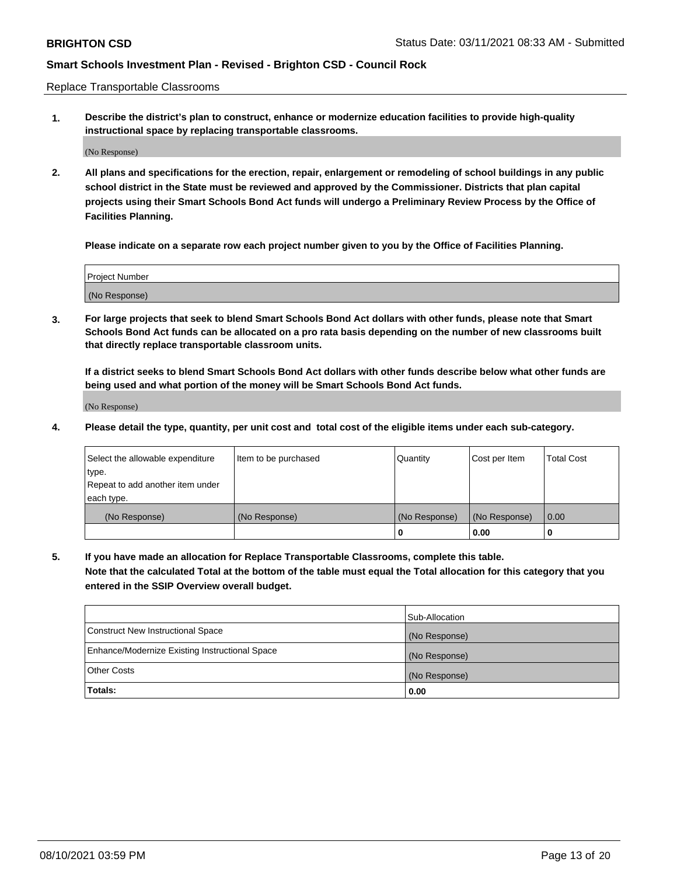Replace Transportable Classrooms

**1. Describe the district's plan to construct, enhance or modernize education facilities to provide high-quality instructional space by replacing transportable classrooms.**

(No Response)

**2. All plans and specifications for the erection, repair, enlargement or remodeling of school buildings in any public school district in the State must be reviewed and approved by the Commissioner. Districts that plan capital projects using their Smart Schools Bond Act funds will undergo a Preliminary Review Process by the Office of Facilities Planning.**

**Please indicate on a separate row each project number given to you by the Office of Facilities Planning.**

| Project Number |  |
|----------------|--|
|                |  |
|                |  |
|                |  |
| (No Response)  |  |
|                |  |
|                |  |

**3. For large projects that seek to blend Smart Schools Bond Act dollars with other funds, please note that Smart Schools Bond Act funds can be allocated on a pro rata basis depending on the number of new classrooms built that directly replace transportable classroom units.**

**If a district seeks to blend Smart Schools Bond Act dollars with other funds describe below what other funds are being used and what portion of the money will be Smart Schools Bond Act funds.**

(No Response)

**4. Please detail the type, quantity, per unit cost and total cost of the eligible items under each sub-category.**

| Select the allowable expenditure | Item to be purchased | Quantity      | Cost per Item | Total Cost |
|----------------------------------|----------------------|---------------|---------------|------------|
| ∣type.                           |                      |               |               |            |
| Repeat to add another item under |                      |               |               |            |
| each type.                       |                      |               |               |            |
| (No Response)                    | (No Response)        | (No Response) | (No Response) | 0.00       |
|                                  |                      | u             | 0.00          |            |

**5. If you have made an allocation for Replace Transportable Classrooms, complete this table. Note that the calculated Total at the bottom of the table must equal the Total allocation for this category that you entered in the SSIP Overview overall budget.**

|                                                | Sub-Allocation |
|------------------------------------------------|----------------|
| Construct New Instructional Space              | (No Response)  |
| Enhance/Modernize Existing Instructional Space | (No Response)  |
| Other Costs                                    | (No Response)  |
| Totals:                                        | 0.00           |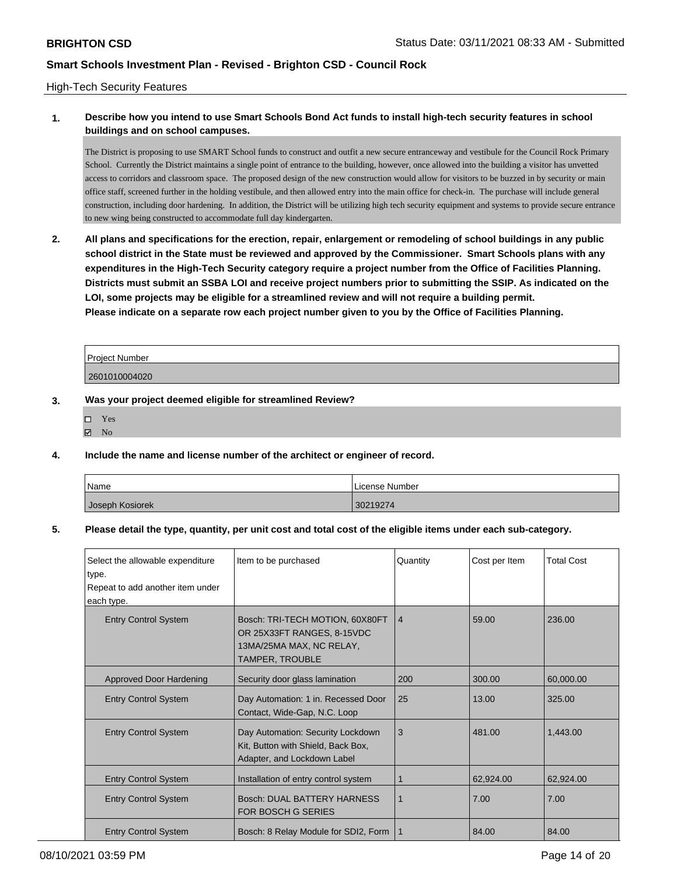#### High-Tech Security Features

### **1. Describe how you intend to use Smart Schools Bond Act funds to install high-tech security features in school buildings and on school campuses.**

The District is proposing to use SMART School funds to construct and outfit a new secure entranceway and vestibule for the Council Rock Primary School. Currently the District maintains a single point of entrance to the building, however, once allowed into the building a visitor has unvetted access to corridors and classroom space. The proposed design of the new construction would allow for visitors to be buzzed in by security or main office staff, screened further in the holding vestibule, and then allowed entry into the main office for check-in. The purchase will include general construction, including door hardening. In addition, the District will be utilizing high tech security equipment and systems to provide secure entrance to new wing being constructed to accommodate full day kindergarten.

**2. All plans and specifications for the erection, repair, enlargement or remodeling of school buildings in any public school district in the State must be reviewed and approved by the Commissioner. Smart Schools plans with any expenditures in the High-Tech Security category require a project number from the Office of Facilities Planning. Districts must submit an SSBA LOI and receive project numbers prior to submitting the SSIP. As indicated on the LOI, some projects may be eligible for a streamlined review and will not require a building permit. Please indicate on a separate row each project number given to you by the Office of Facilities Planning.**

| Project Number |  |
|----------------|--|
| 2601010004020  |  |

#### **3. Was your project deemed eligible for streamlined Review?**

- Yes
- $\boxtimes$  No

#### **4. Include the name and license number of the architect or engineer of record.**

| Name            | License Number |
|-----------------|----------------|
| Joseph Kosiorek | 30219274       |

#### **5. Please detail the type, quantity, per unit cost and total cost of the eligible items under each sub-category.**

| Select the allowable expenditure                                    | Item to be purchased                                                                                         | Quantity       | Cost per Item | <b>Total Cost</b> |
|---------------------------------------------------------------------|--------------------------------------------------------------------------------------------------------------|----------------|---------------|-------------------|
| type.                                                               |                                                                                                              |                |               |                   |
| Repeat to add another item under                                    |                                                                                                              |                |               |                   |
| each type.                                                          |                                                                                                              |                |               |                   |
| <b>Entry Control System</b>                                         | Bosch: TRI-TECH MOTION, 60X80FT<br>OR 25X33FT RANGES, 8-15VDC<br>13MA/25MA MAX, NC RELAY,<br>TAMPER, TROUBLE | $\overline{4}$ | 59.00         | 236.00            |
| <b>Approved Door Hardening</b>                                      | Security door glass lamination                                                                               | 200            | 300.00        | 60,000.00         |
| <b>Entry Control System</b>                                         | Day Automation: 1 in. Recessed Door<br>Contact, Wide-Gap, N.C. Loop                                          | 25             | 13.00         | 325.00            |
| <b>Entry Control System</b>                                         | Day Automation: Security Lockdown<br>Kit, Button with Shield, Back Box,<br>Adapter, and Lockdown Label       | 3              | 481.00        | 1,443.00          |
| <b>Entry Control System</b>                                         | Installation of entry control system                                                                         | 1              | 62,924.00     | 62.924.00         |
| <b>Entry Control System</b>                                         | Bosch: DUAL BATTERY HARNESS<br>1<br><b>FOR BOSCH G SERIES</b>                                                |                | 7.00          | 7.00              |
| <b>Entry Control System</b><br>Bosch: 8 Relay Module for SDI2, Form |                                                                                                              | 1              | 84.00         | 84.00             |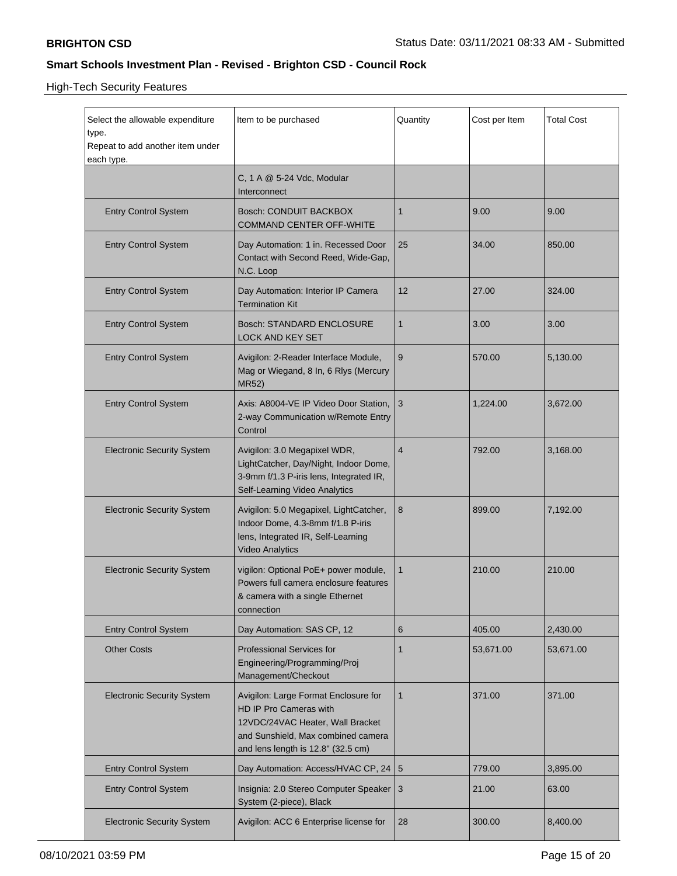High-Tech Security Features

| Select the allowable expenditure<br>type.<br>Repeat to add another item under<br>each type. | Item to be purchased                                                                                                                                                                           | Quantity                 | Cost per Item | <b>Total Cost</b> |  |
|---------------------------------------------------------------------------------------------|------------------------------------------------------------------------------------------------------------------------------------------------------------------------------------------------|--------------------------|---------------|-------------------|--|
|                                                                                             | C, 1 A @ 5-24 Vdc, Modular<br>Interconnect                                                                                                                                                     |                          |               |                   |  |
| <b>Entry Control System</b>                                                                 | Bosch: CONDUIT BACKBOX<br><b>COMMAND CENTER OFF-WHITE</b>                                                                                                                                      | 1                        | 9.00          | 9.00              |  |
| <b>Entry Control System</b>                                                                 | Day Automation: 1 in. Recessed Door<br>Contact with Second Reed, Wide-Gap,<br>N.C. Loop                                                                                                        | 25                       | 34.00         | 850.00            |  |
| <b>Entry Control System</b>                                                                 | Day Automation: Interior IP Camera<br><b>Termination Kit</b>                                                                                                                                   | 12                       | 27.00         | 324.00            |  |
| <b>Entry Control System</b>                                                                 | Bosch: STANDARD ENCLOSURE<br><b>LOCK AND KEY SET</b>                                                                                                                                           | $\mathbf{1}$             | 3.00          | 3.00              |  |
| <b>Entry Control System</b>                                                                 | Avigilon: 2-Reader Interface Module,<br>Mag or Wiegand, 8 In, 6 Rlys (Mercury<br>MR52)                                                                                                         | 570.00                   | 5,130.00      |                   |  |
| <b>Entry Control System</b>                                                                 | Axis: A8004-VE IP Video Door Station, 3<br>2-way Communication w/Remote Entry<br>Control                                                                                                       |                          | 1,224.00      | 3,672.00          |  |
| <b>Electronic Security System</b>                                                           | Avigilon: 3.0 Megapixel WDR,<br>LightCatcher, Day/Night, Indoor Dome,<br>3-9mm f/1.3 P-iris lens, Integrated IR,<br>Self-Learning Video Analytics                                              | $\overline{4}$           | 792.00        | 3,168.00          |  |
| <b>Electronic Security System</b>                                                           | Avigilon: 5.0 Megapixel, LightCatcher,<br>Indoor Dome, 4.3-8mm f/1.8 P-iris<br>lens, Integrated IR, Self-Learning<br><b>Video Analytics</b>                                                    | 8                        | 899.00        | 7,192.00          |  |
| <b>Electronic Security System</b>                                                           | vigilon: Optional PoE+ power module,<br>Powers full camera enclosure features<br>& camera with a single Ethernet<br>connection                                                                 |                          | 210.00        | 210.00            |  |
| <b>Entry Control System</b>                                                                 | Day Automation: SAS CP, 12                                                                                                                                                                     | 6                        | 405.00        | 2,430.00          |  |
| <b>Other Costs</b>                                                                          | <b>Professional Services for</b><br>Engineering/Programming/Proj<br>Management/Checkout                                                                                                        | 1                        | 53,671.00     | 53,671.00         |  |
| <b>Electronic Security System</b>                                                           | Avigilon: Large Format Enclosure for<br>$\mathbf{1}$<br>HD IP Pro Cameras with<br>12VDC/24VAC Heater, Wall Bracket<br>and Sunshield, Max combined camera<br>and lens length is 12.8" (32.5 cm) |                          | 371.00        | 371.00            |  |
| <b>Entry Control System</b>                                                                 | Day Automation: Access/HVAC CP, 24   5                                                                                                                                                         |                          | 779.00        | 3,895.00          |  |
| <b>Entry Control System</b>                                                                 | Insignia: 2.0 Stereo Computer Speaker   3<br>System (2-piece), Black                                                                                                                           |                          | 21.00         | 63.00             |  |
| <b>Electronic Security System</b>                                                           | Avigilon: ACC 6 Enterprise license for                                                                                                                                                         | 28<br>300.00<br>8,400.00 |               |                   |  |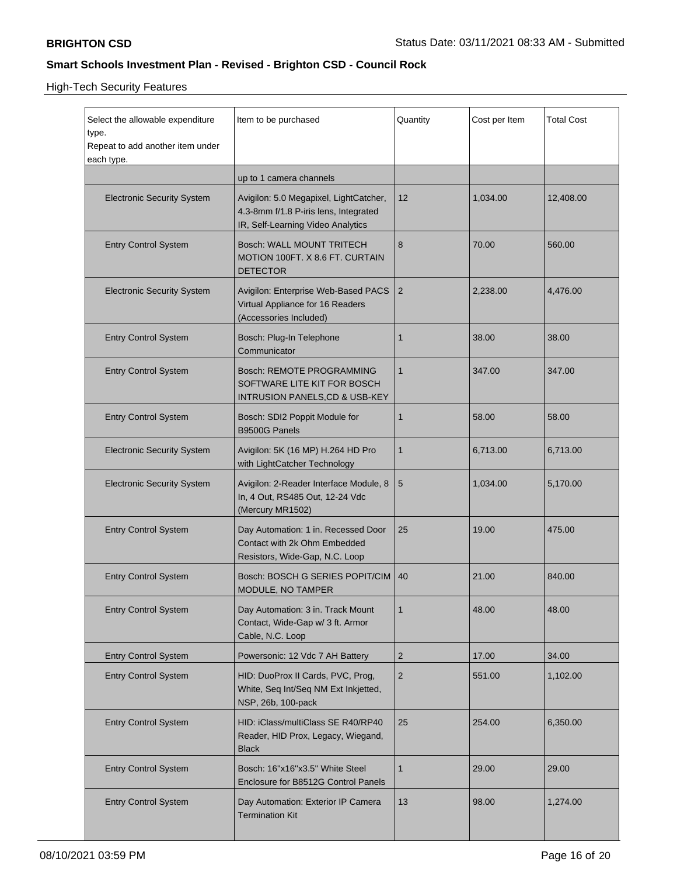High-Tech Security Features

| Select the allowable expenditure<br>type.<br>Repeat to add another item under<br>each type. | Item to be purchased                                                                                                 | Quantity                       | Cost per Item  | <b>Total Cost</b> |  |
|---------------------------------------------------------------------------------------------|----------------------------------------------------------------------------------------------------------------------|--------------------------------|----------------|-------------------|--|
|                                                                                             | up to 1 camera channels                                                                                              |                                |                |                   |  |
| <b>Electronic Security System</b>                                                           | Avigilon: 5.0 Megapixel, LightCatcher,<br>4.3-8mm f/1.8 P-iris lens, Integrated<br>IR, Self-Learning Video Analytics | 12                             | 1,034.00       | 12,408.00         |  |
| <b>Entry Control System</b>                                                                 | <b>Bosch: WALL MOUNT TRITECH</b><br>MOTION 100FT. X 8.6 FT. CURTAIN<br><b>DETECTOR</b>                               | 8                              | 70.00          | 560.00            |  |
| <b>Electronic Security System</b>                                                           | Avigilon: Enterprise Web-Based PACS<br>Virtual Appliance for 16 Readers<br>(Accessories Included)                    | 2                              | 2,238.00       | 4,476.00          |  |
| <b>Entry Control System</b>                                                                 | Bosch: Plug-In Telephone<br>Communicator                                                                             | 1                              | 38.00<br>38.00 |                   |  |
| <b>Entry Control System</b>                                                                 | Bosch: REMOTE PROGRAMMING<br>SOFTWARE LITE KIT FOR BOSCH<br><b>INTRUSION PANELS, CD &amp; USB-KEY</b>                | $\mathbf{1}$                   | 347.00         | 347.00            |  |
| <b>Entry Control System</b>                                                                 | Bosch: SDI2 Poppit Module for<br>B9500G Panels                                                                       | $\mathbf{1}$                   | 58.00          | 58.00             |  |
| <b>Electronic Security System</b>                                                           | Avigilon: 5K (16 MP) H.264 HD Pro<br>with LightCatcher Technology                                                    | 1                              | 6,713.00       | 6,713.00          |  |
| <b>Electronic Security System</b>                                                           | Avigilon: 2-Reader Interface Module, 8<br>In, 4 Out, RS485 Out, 12-24 Vdc<br>(Mercury MR1502)                        | 5                              | 1,034.00       | 5,170.00          |  |
| <b>Entry Control System</b>                                                                 | Day Automation: 1 in. Recessed Door<br>Contact with 2k Ohm Embedded<br>Resistors, Wide-Gap, N.C. Loop                | 25                             | 19.00          | 475.00            |  |
| <b>Entry Control System</b>                                                                 | Bosch: BOSCH G SERIES POPIT/CIM<br>MODULE, NO TAMPER                                                                 | 40                             | 21.00          | 840.00            |  |
| <b>Entry Control System</b>                                                                 | Day Automation: 3 in. Track Mount<br>Contact, Wide-Gap w/ 3 ft. Armor<br>Cable, N.C. Loop                            | $\mathbf{1}$                   | 48.00          | 48.00             |  |
| <b>Entry Control System</b>                                                                 | Powersonic: 12 Vdc 7 AH Battery                                                                                      | $\overline{2}$                 | 17.00          | 34.00             |  |
| <b>Entry Control System</b>                                                                 | HID: DuoProx II Cards, PVC, Prog,<br>White, Seq Int/Seq NM Ext Inkjetted,<br>NSP, 26b, 100-pack                      | $\sqrt{2}$                     | 551.00         | 1,102.00          |  |
| <b>Entry Control System</b>                                                                 | HID: iClass/multiClass SE R40/RP40<br>Reader, HID Prox, Legacy, Wiegand,<br><b>Black</b>                             | 25<br>254.00                   |                | 6,350.00          |  |
| <b>Entry Control System</b>                                                                 | Bosch: 16"x16"x3.5" White Steel<br>Enclosure for B8512G Control Panels                                               | $\mathbf{1}$<br>29.00<br>29.00 |                |                   |  |
| <b>Entry Control System</b>                                                                 | Day Automation: Exterior IP Camera<br><b>Termination Kit</b>                                                         | 13                             | 98.00          | 1,274.00          |  |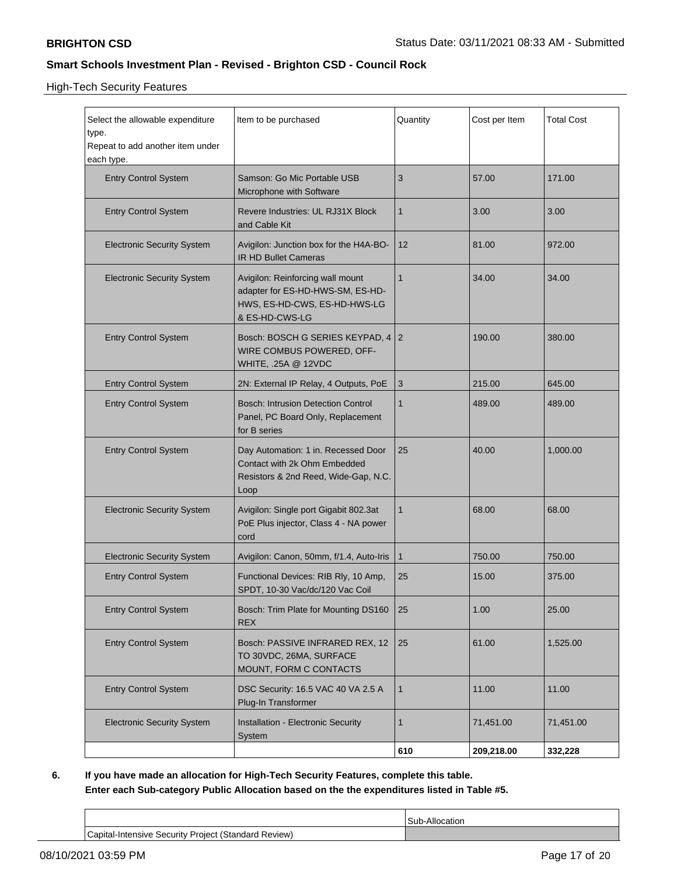High-Tech Security Features

| Select the allowable expenditure<br>type.<br>Repeat to add another item under<br>each type. | Item to be purchased                                                                                                   | Quantity                  | Cost per Item | <b>Total Cost</b> |  |
|---------------------------------------------------------------------------------------------|------------------------------------------------------------------------------------------------------------------------|---------------------------|---------------|-------------------|--|
| <b>Entry Control System</b>                                                                 | Samson: Go Mic Portable USB<br>Microphone with Software                                                                | 3                         | 57.00         | 171.00            |  |
| <b>Entry Control System</b>                                                                 | Revere Industries: UL RJ31X Block<br>and Cable Kit                                                                     | $\mathbf{1}$              | 3.00          | 3.00              |  |
| <b>Electronic Security System</b>                                                           | Avigilon: Junction box for the H4A-BO-<br><b>IR HD Bullet Cameras</b>                                                  | 12                        | 81.00         | 972.00            |  |
| <b>Electronic Security System</b>                                                           | Avigilon: Reinforcing wall mount<br>adapter for ES-HD-HWS-SM, ES-HD-<br>HWS, ES-HD-CWS, ES-HD-HWS-LG<br>& ES-HD-CWS-LG | 34.00                     | 34.00         |                   |  |
| <b>Entry Control System</b>                                                                 | Bosch: BOSCH G SERIES KEYPAD, 4 2<br>WIRE COMBUS POWERED, OFF-<br>WHITE, .25A @ 12VDC                                  |                           | 190.00        |                   |  |
| <b>Entry Control System</b>                                                                 | 2N: External IP Relay, 4 Outputs, PoE                                                                                  | $\ensuremath{\mathsf{3}}$ | 215.00        | 645.00            |  |
| <b>Entry Control System</b>                                                                 | <b>Bosch: Intrusion Detection Control</b><br>Panel, PC Board Only, Replacement<br>for B series                         | $\mathbf{1}$              | 489.00        | 489.00            |  |
| <b>Entry Control System</b>                                                                 | Day Automation: 1 in. Recessed Door<br>Contact with 2k Ohm Embedded<br>Resistors & 2nd Reed, Wide-Gap, N.C.<br>Loop    | 25                        | 40.00         | 1,000.00          |  |
| <b>Electronic Security System</b>                                                           | Avigilon: Single port Gigabit 802.3at<br>PoE Plus injector, Class 4 - NA power<br>cord                                 | $\mathbf{1}$              | 68.00         | 68.00             |  |
| <b>Electronic Security System</b>                                                           | Avigilon: Canon, 50mm, f/1.4, Auto-Iris                                                                                | $\mathbf{1}$              | 750.00        | 750.00            |  |
| <b>Entry Control System</b>                                                                 | Functional Devices: RIB Rly, 10 Amp,<br>SPDT, 10-30 Vac/dc/120 Vac Coil                                                | 25<br>15.00               |               | 375.00            |  |
| <b>Entry Control System</b>                                                                 | Bosch: Trim Plate for Mounting DS160<br><b>REX</b>                                                                     | 25                        | 25.00<br>1.00 |                   |  |
| <b>Entry Control System</b>                                                                 | Bosch: PASSIVE INFRARED REX, 12<br>25<br>61.00<br>TO 30VDC, 26MA, SURFACE<br>MOUNT, FORM C CONTACTS                    |                           |               | 1,525.00          |  |
| <b>Entry Control System</b>                                                                 | DSC Security: 16.5 VAC 40 VA 2.5 A<br>Plug-In Transformer                                                              | $\mathbf{1}$              | 11.00         | 11.00             |  |
| <b>Electronic Security System</b>                                                           | Installation - Electronic Security<br>System                                                                           | $\mathbf{1}$              | 71,451.00     | 71,451.00         |  |
|                                                                                             |                                                                                                                        | 610                       | 209,218.00    | 332,228           |  |

**6. If you have made an allocation for High-Tech Security Features, complete this table. Enter each Sub-category Public Allocation based on the the expenditures listed in Table #5.**

Sub-Allocation Capital-Intensive Security Project (Standard Review)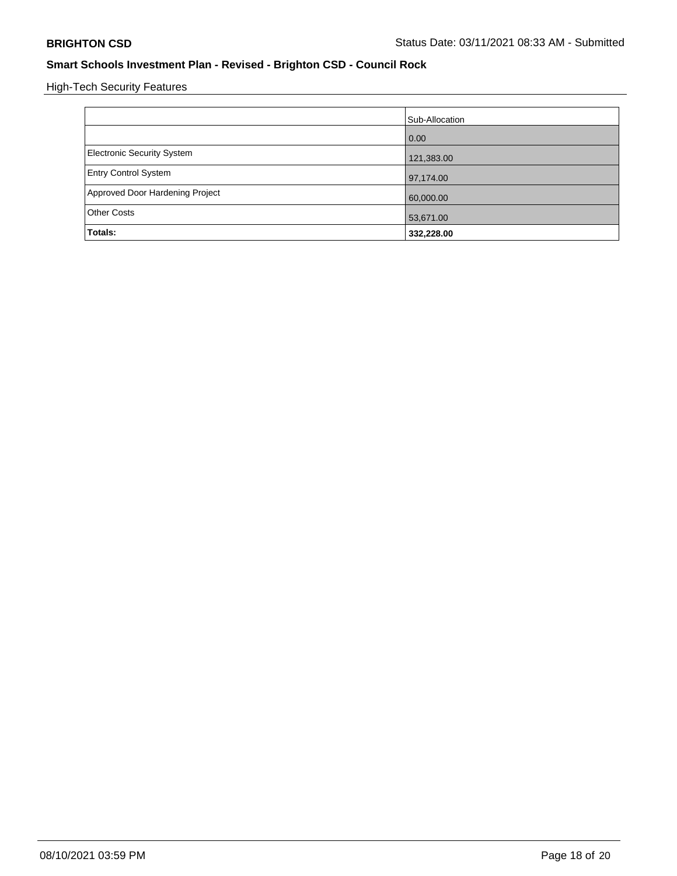High-Tech Security Features

|                                 | Sub-Allocation |
|---------------------------------|----------------|
|                                 | 0.00           |
| Electronic Security System      | 121,383.00     |
| <b>Entry Control System</b>     | 97,174.00      |
| Approved Door Hardening Project | 60,000.00      |
| <b>Other Costs</b>              | 53,671.00      |
| Totals:                         | 332,228.00     |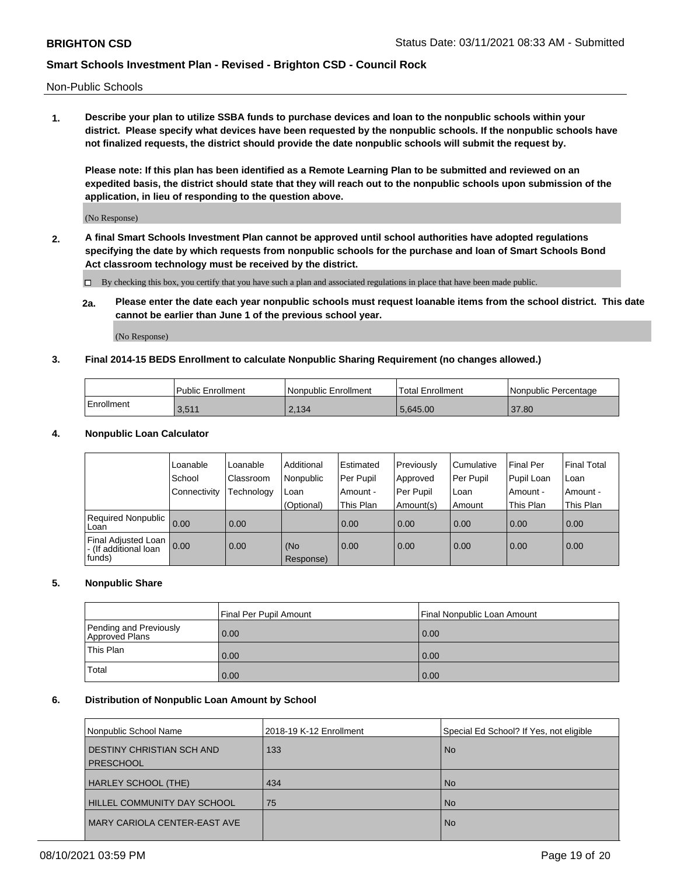Non-Public Schools

**1. Describe your plan to utilize SSBA funds to purchase devices and loan to the nonpublic schools within your district. Please specify what devices have been requested by the nonpublic schools. If the nonpublic schools have not finalized requests, the district should provide the date nonpublic schools will submit the request by.**

**Please note: If this plan has been identified as a Remote Learning Plan to be submitted and reviewed on an expedited basis, the district should state that they will reach out to the nonpublic schools upon submission of the application, in lieu of responding to the question above.**

(No Response)

**2. A final Smart Schools Investment Plan cannot be approved until school authorities have adopted regulations specifying the date by which requests from nonpublic schools for the purchase and loan of Smart Schools Bond Act classroom technology must be received by the district.**

By checking this box, you certify that you have such a plan and associated regulations in place that have been made public.

**2a. Please enter the date each year nonpublic schools must request loanable items from the school district. This date cannot be earlier than June 1 of the previous school year.**

(No Response)

#### **3. Final 2014-15 BEDS Enrollment to calculate Nonpublic Sharing Requirement (no changes allowed.)**

|              | <b>Public Enrollment</b> | <b>Nonpublic Enrollment</b> | Total Enrollment | Nonpublic Percentage |
|--------------|--------------------------|-----------------------------|------------------|----------------------|
| l Enrollment | 3,511                    | 2.134                       | 5.645.00         | 37.80                |

#### **4. Nonpublic Loan Calculator**

|                                                           | Loanable       | Loanable   | Additional       | l Estimated | Previously       | Cumulative | <b>Final Per</b> | <b>Final Total</b> |
|-----------------------------------------------------------|----------------|------------|------------------|-------------|------------------|------------|------------------|--------------------|
|                                                           | School         | Classroom  | Nonpublic        | Per Pupil   | Approved         | Per Pupil  | Pupil Loan       | Loan               |
|                                                           | l Connectivitv | Technology | Loan             | Amount -    | <b>Per Pupil</b> | Loan       | Amount -         | Amount -           |
|                                                           |                |            | (Optional)       | This Plan   | Amount(s)        | Amount     | This Plan        | This Plan          |
| Required Nonpublic<br>Loan                                | 0.00           | 0.00       |                  | 0.00        | 0.00             | 0.00       | 0.00             | 0.00               |
| Final Adjusted Loan  <br>- (If additional loan<br> funds) | 0.00           | 0.00       | (No<br>Response) | 0.00        | 0.00             | 0.00       | 0.00             | 0.00               |

#### **5. Nonpublic Share**

|                                          | Final Per Pupil Amount | Final Nonpublic Loan Amount |
|------------------------------------------|------------------------|-----------------------------|
| Pending and Previously<br>Approved Plans | 0.00                   | 0.00                        |
| This Plan                                | 0.00                   | 0.00                        |
| Total                                    | 0.00                   | 0.00                        |

#### **6. Distribution of Nonpublic Loan Amount by School**

| Nonpublic School Name                         | 2018-19 K-12 Enrollment | Special Ed School? If Yes, not eligible |  |  |
|-----------------------------------------------|-------------------------|-----------------------------------------|--|--|
| DESTINY CHRISTIAN SCH AND<br><b>PRESCHOOL</b> | 133                     | <b>No</b>                               |  |  |
| HARLEY SCHOOL (THE)                           | 434                     | <b>No</b>                               |  |  |
| <b>HILLEL COMMUNITY DAY SCHOOL</b>            | 75                      | <b>No</b>                               |  |  |
| MARY CARIOLA CENTER-EAST AVE                  |                         | <b>No</b>                               |  |  |